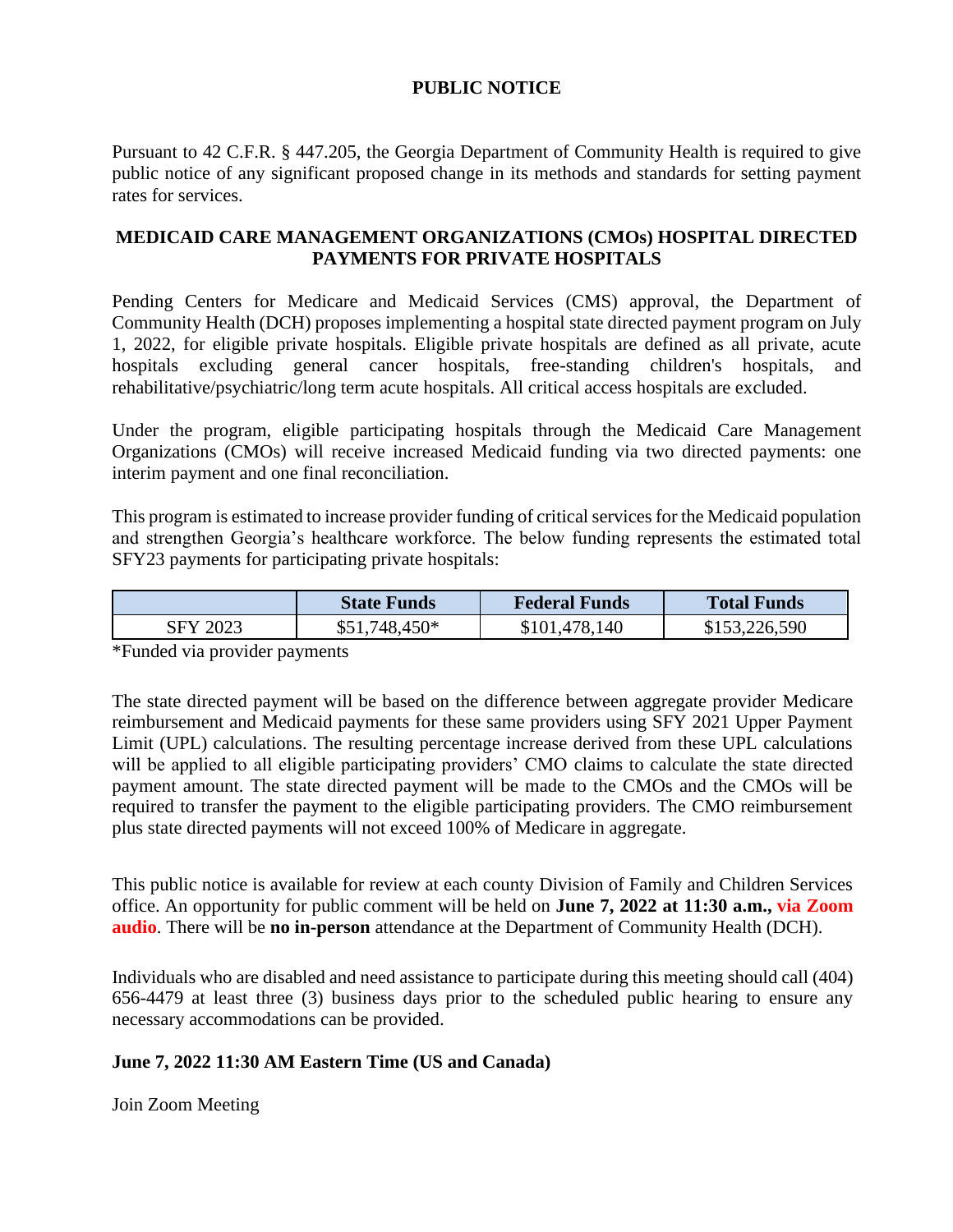## **PUBLIC NOTICE**

Pursuant to 42 C.F.R. § 447.205, the Georgia Department of Community Health is required to give public notice of any significant proposed change in its methods and standards for setting payment rates for services.

## **MEDICAID CARE MANAGEMENT ORGANIZATIONS (CMOs) HOSPITAL DIRECTED PAYMENTS FOR PRIVATE HOSPITALS**

Pending Centers for Medicare and Medicaid Services (CMS) approval, the Department of Community Health (DCH) proposes implementing a hospital state directed payment program on July 1, 2022, for eligible private hospitals. Eligible private hospitals are defined as all private, acute hospitals excluding general cancer hospitals, free-standing children's hospitals, and rehabilitative/psychiatric/long term acute hospitals. All critical access hospitals are excluded.

Under the program, eligible participating hospitals through the Medicaid Care Management Organizations (CMOs) will receive increased Medicaid funding via two directed payments: one interim payment and one final reconciliation.

This program is estimated to increase provider funding of critical services for the Medicaid population and strengthen Georgia's healthcare workforce. The below funding represents the estimated total SFY23 payments for participating private hospitals:

|          | <b>State Funds</b> | <b>Federal Funds</b> | <b>Total Funds</b> |
|----------|--------------------|----------------------|--------------------|
| SFY 2023 | $$51,748,450*$     | \$101,478,140        | \$153,226,590      |

\*Funded via provider payments

The state directed payment will be based on the difference between aggregate provider Medicare reimbursement and Medicaid payments for these same providers using SFY 2021 Upper Payment Limit (UPL) calculations. The resulting percentage increase derived from these UPL calculations will be applied to all eligible participating providers' CMO claims to calculate the state directed payment amount. The state directed payment will be made to the CMOs and the CMOs will be required to transfer the payment to the eligible participating providers. The CMO reimbursement plus state directed payments will not exceed 100% of Medicare in aggregate.

This public notice is available for review at each county Division of Family and Children Services office. An opportunity for public comment will be held on **June 7, 2022 at 11:30 a.m., via Zoom audio**. There will be **no in-person** attendance at the Department of Community Health (DCH).

Individuals who are disabled and need assistance to participate during this meeting should call (404) 656-4479 at least three (3) business days prior to the scheduled public hearing to ensure any necessary accommodations can be provided.

## **June 7, 2022 11:30 AM Eastern Time (US and Canada)**

Join Zoom Meeting